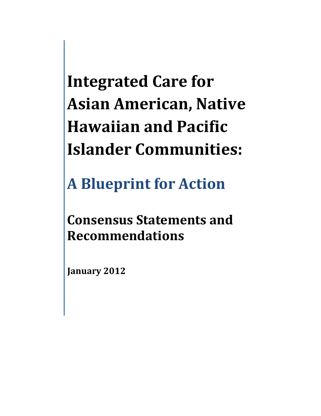# **Integrated Care for Asian American, Native Hawaiian and Pacific Islander Communities:**

**A Blueprint for Action**

**Consensus Statements and Recommendations**

**January 2012**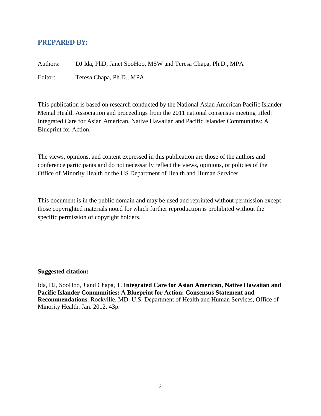# **PREPARED BY:**

Authors: DJ Ida, PhD, Janet SooHoo, MSW and Teresa Chapa, Ph.D., MPA

Editor: Teresa Chapa, Ph.D., MPA

This publication is based on research conducted by the National Asian American Pacific Islander Mental Health Association and proceedings from the 2011 national consensus meeting titled: Integrated Care for Asian American, Native Hawaiian and Pacific Islander Communities: A Blueprint for Action.

The views, opinions, and content expressed in this publication are those of the authors and conference participants and do not necessarily reflect the views, opinions, or policies of the Office of Minority Health or the US Department of Health and Human Services.

This document is in the public domain and may be used and reprinted without permission except those copyrighted materials noted for which further reproduction is prohibited without the specific permission of copyright holders.

### **Suggested citation:**

Ida, DJ, SooHoo, J and Chapa, T. **Integrated Care for Asian American, Native Hawaiian and Pacific Islander Communities: A Blueprint for Action: Consensus Statement and Recommendations.** Rockville, MD: U.S. Department of Health and Human Services, Office of Minority Health, Jan. 2012. 43p.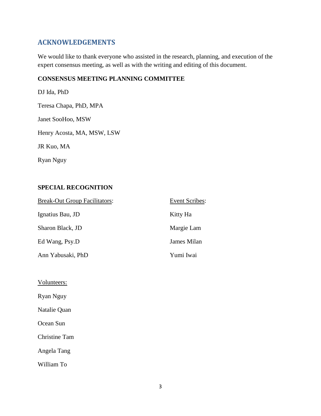# **ACKNOWLEDGEMENTS**

We would like to thank everyone who assisted in the research, planning, and execution of the expert consensus meeting, as well as with the writing and editing of this document.

### **CONSENSUS MEETING PLANNING COMMITTEE**

DJ Ida, PhD Teresa Chapa, PhD, MPA Janet SooHoo, MSW Henry Acosta, MA, MSW, LSW JR Kuo, MA Ryan Nguy

# **SPECIAL RECOGNITION**

| <b>Break-Out Group Facilitators:</b> | <b>Event Scribes:</b> |
|--------------------------------------|-----------------------|
| Ignatius Bau, JD                     | Kitty Ha              |
| Sharon Black, JD                     | Margie Lam            |
| Ed Wang, Psy.D                       | James Milan           |
| Ann Yabusaki, PhD                    | Yumi Iwai             |

Volunteers:

Ryan Nguy

Natalie Quan

Ocean Sun

Christine Tam

Angela Tang

William To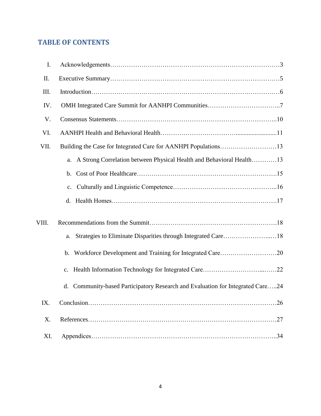# **TABLE OF CONTENTS**

| I.    |                                                                                   |
|-------|-----------------------------------------------------------------------------------|
| II.   |                                                                                   |
| III.  |                                                                                   |
| IV.   |                                                                                   |
| V.    |                                                                                   |
| VI.   |                                                                                   |
| VII.  |                                                                                   |
|       | a. A Strong Correlation between Physical Health and Behavioral Health13           |
|       | b.                                                                                |
|       | c.                                                                                |
|       |                                                                                   |
| VIII. |                                                                                   |
|       | Strategies to Eliminate Disparities through Integrated Care18<br>a.               |
|       |                                                                                   |
|       | c.                                                                                |
|       | Community-based Participatory Research and Evaluation for Integrated Care24<br>d. |
| IX.   | .26                                                                               |
| X.    | .27                                                                               |
| XI.   |                                                                                   |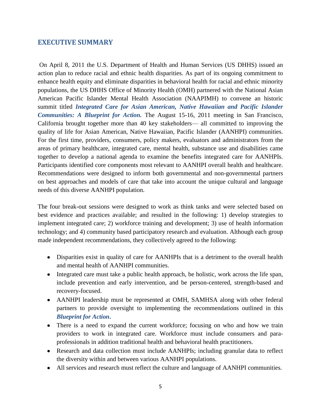# **EXECUTIVE SUMMARY**

On April 8, 2011 the U.S. Department of Health and Human Services (US DHHS) issued an action plan to reduce racial and ethnic health disparities. As part of its ongoing commitment to enhance health equity and eliminate disparities in behavioral health for racial and ethnic minority populations, the US DHHS Office of Minority Health (OMH) partnered with the National Asian American Pacific Islander Mental Health Association (NAAPIMH) to convene an historic summit titled *Integrated Care for Asian American, Native Hawaiian and Pacific Islander Communities: A Blueprint for Action.* The August 15-16, 2011 meeting in San Francisco, California brought together more than 40 key stakeholders— all committed to improving the quality of life for Asian American, Native Hawaiian, Pacific Islander (AANHPI) communities. For the first time, providers, consumers, policy makers, evaluators and administrators from the areas of primary healthcare, integrated care, mental health, substance use and disabilities came together to develop a national agenda to examine the benefits integrated care for AANHPIs. Participants identified core components most relevant to AANHPI overall health and healthcare. Recommendations were designed to inform both governmental and non-governmental partners on best approaches and models of care that take into account the unique cultural and language needs of this diverse AANHPI population.

The four break-out sessions were designed to work as think tanks and were selected based on best evidence and practices available; and resulted in the following: 1) develop strategies to implement integrated care; 2) workforce training and development; 3) use of health information technology; and 4) community based participatory research and evaluation. Although each group made independent recommendations, they collectively agreed to the following:

- Disparities exist in quality of care for AANHPIs that is a detriment to the overall health and mental health of AANHPI communities.
- Integrated care must take a public health approach, be holistic, work across the life span, include prevention and early intervention, and be person-centered, strength-based and recovery-focused.
- AANHPI leadership must be represented at OMH, SAMHSA along with other federal partners to provide oversight to implementing the recommendations outlined in this *Blueprint for Action***.**
- There is a need to expand the current workforce; focusing on who and how we train providers to work in integrated care. Workforce must include consumers and paraprofessionals in addition traditional health and behavioral health practitioners.
- Research and data collection must include AANHPIs; including granular data to reflect the diversity within and between various AANHPI populations.
- All services and research must reflect the culture and language of AANHPI communities.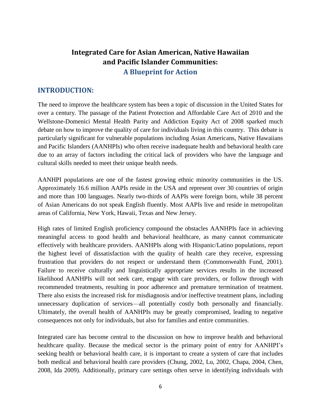# **Integrated Care for Asian American, Native Hawaiian and Pacific Islander Communities: A Blueprint for Action**

# **INTRODUCTION:**

The need to improve the healthcare system has been a topic of discussion in the United States for over a century. The passage of the Patient Protection and Affordable Care Act of 2010 and the Wellstone-Domenici Mental Health Parity and Addiction Equity Act of 2008 sparked much debate on how to improve the quality of care for individuals living in this country. This debate is particularly significant for vulnerable populations including Asian Americans, Native Hawaiians and Pacific Islanders (AANHPIs) who often receive inadequate health and behavioral health care due to an array of factors including the critical lack of providers who have the language and cultural skills needed to meet their unique health needs.

AANHPI populations are one of the fastest growing ethnic minority communities in the US. Approximately 16.6 million AAPIs reside in the USA and represent over 30 countries of origin and more than 100 languages. Nearly two-thirds of AAPIs were foreign born, while 38 percent of Asian Americans do not speak English fluently. Most AAPIs live and reside in metropolitan areas of California, New York, Hawaii, Texas and New Jersey.

High rates of limited English proficiency compound the obstacles AANHPIs face in achieving meaningful access to good health and behavioral healthcare, as many cannot communicate effectively with healthcare providers. AANHPIs along with Hispanic/Latino populations, report the highest level of dissatisfaction with the quality of health care they receive, expressing frustration that providers do not respect or understand them (Commonwealth Fund, 2001). Failure to receive culturally and linguistically appropriate services results in the increased likelihood AANHPIs will not seek care, engage with care providers, or follow through with recommended treatments, resulting in poor adherence and premature termination of treatment. There also exists the increased risk for misdiagnosis and/or ineffective treatment plans, including unnecessary duplication of services—all potentially costly both personally and financially. Ultimately, the overall health of AANHPIs may be greatly compromised, leading to negative consequences not only for individuals, but also for families and entire communities.

Integrated care has become central to the discussion on how to improve health and behavioral healthcare quality. Because the medical sector is the primary point of entry for AANHPI's seeking health or behavioral health care, it is important to create a system of care that includes both medical and behavioral health care providers (Chung, 2002, Lu, 2002, Chapa, 2004, Chen, 2008, Ida 2009). Additionally, primary care settings often serve in identifying individuals with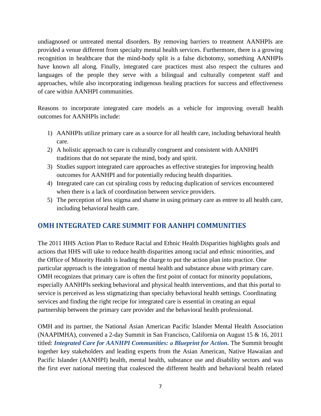undiagnosed or untreated mental disorders. By removing barriers to treatment AANHPIs are provided a venue different from specialty mental health services. Furthermore, there is a growing recognition in healthcare that the mind-body split is a false dichotomy, something AANHPIs have known all along. Finally, integrated care practices must also respect the cultures and languages of the people they serve with a bilingual and culturally competent staff and approaches, while also incorporating indigenous healing practices for success and effectiveness of care within AANHPI communities.

Reasons to incorporate integrated care models as a vehicle for improving overall health outcomes for AANHPIs include:

- 1) AANHPIs utilize primary care as a source for all health care, including behavioral health care.
- 2) A holistic approach to care is culturally congruent and consistent with AANHPI traditions that do not separate the mind, body and spirit.
- 3) Studies support integrated care approaches as effective strategies for improving health outcomes for AANHPI and for potentially reducing health disparities.
- 4) Integrated care can cut spiraling costs by reducing duplication of services encountered when there is a lack of coordination between service providers.
- 5) The perception of less stigma and shame in using primary care as entree to all health care, including behavioral health care.

# **OMH INTEGRATED CARE SUMMIT FOR AANHPI COMMUNITIES**

The 2011 HHS Action Plan to Reduce Racial and Ethnic Health Disparities highlights goals and actions that HHS will take to reduce health disparities among racial and ethnic minorities, and the Office of Minority Health is leading the charge to put the action plan into practice. One particular approach is the integration of mental health and substance abuse with primary care. OMH recognizes that primary care is often the first point of contact for minority populations, especially AANHPIs seeking behavioral and physical health interventions, and that this portal to service is perceived as less stigmatizing than specialty behavioral health settings. Coordinating services and finding the right recipe for integrated care is essential in creating an equal partnership between the primary care provider and the behavioral health professional.

OMH and its partner, the National Asian American Pacific Islander Mental Health Association (NAAPIMHA), convened a 2-day Summit in San Francisco, California on August 15 & 16, 2011 titled: *Integrated Care for AANHPI Communities: a Blueprint for Action***.** The Summit brought together key stakeholders and leading experts from the Asian American, Native Hawaiian and Pacific Islander (AANHPI) health, mental health, substance use and disability sectors and was the first ever national meeting that coalesced the different health and behavioral health related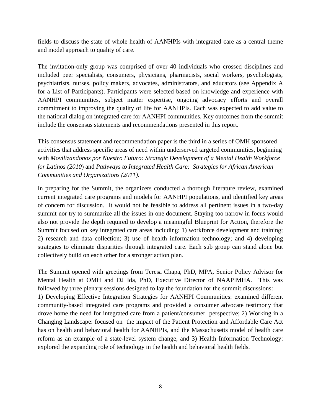fields to discuss the state of whole health of AANHPIs with integrated care as a central theme and model approach to quality of care.

The invitation-only group was comprised of over 40 individuals who crossed disciplines and included peer specialists, consumers, physicians, pharmacists, social workers, psychologists, psychiatrists, nurses, policy makers, advocates, administrators, and educators (see Appendix A for a List of Participants). Participants were selected based on knowledge and experience with AANHPI communities, subject matter expertise, ongoing advocacy efforts and overall commitment to improving the quality of life for AANHPIs. Each was expected to add value to the national dialog on integrated care for AANHPI communities. Key outcomes from the summit include the consensus statements and recommendations presented in this report.

This consensus statement and recommendation paper is the third in a series of OMH sponsored activities that address specific areas of need within underserved targeted communities, beginning with *Movilizandonos por Nuestro Futuro: Strategic Development of a Mental Health Workforce for Latinos (2010*) and *Pathways to Integrated Health Care: Strategies for African American Communities and Organizations (2011).*

In preparing for the Summit, the organizers conducted a thorough literature review, examined current integrated care programs and models for AANHPI populations, and identified key areas of concern for discussion. It would not be feasible to address all pertinent issues in a two-day summit nor try to summarize all the issues in one document. Staying too narrow in focus would also not provide the depth required to develop a meaningful Blueprint for Action, therefore the Summit focused on key integrated care areas including: 1) workforce development and training; 2) research and data collection; 3) use of health information technology; and 4) developing strategies to eliminate disparities through integrated care. Each sub group can stand alone but collectively build on each other for a stronger action plan.

The Summit opened with greetings from Teresa Chapa, PhD, MPA, Senior Policy Advisor for Mental Health at OMH and DJ Ida, PhD, Executive Director of NAAPIMHA. This was followed by three plenary sessions designed to lay the foundation for the summit discussions: 1) Developing Effective Integration Strategies for AANHPI Communities: examined different community-based integrated care programs and provided a consumer advocate testimony that drove home the need for integrated care from a patient/consumer perspective; 2) Working in a Changing Landscape: focused on the impact of the Patient Protection and Affordable Care Act has on health and behavioral health for AANHPIs, and the Massachusetts model of health care reform as an example of a state-level system change, and 3) Health Information Technology: explored the expanding role of technology in the health and behavioral health fields.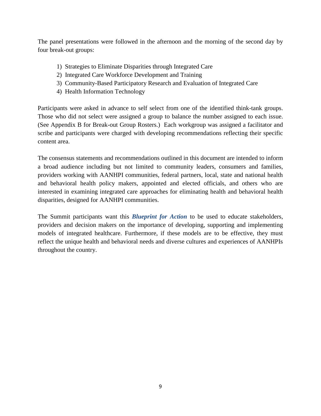The panel presentations were followed in the afternoon and the morning of the second day by four break-out groups:

- 1) Strategies to Eliminate Disparities through Integrated Care
- 2) Integrated Care Workforce Development and Training
- 3) Community-Based Participatory Research and Evaluation of Integrated Care
- 4) Health Information Technology

Participants were asked in advance to self select from one of the identified think-tank groups. Those who did not select were assigned a group to balance the number assigned to each issue. (See Appendix B for Break-out Group Rosters.) Each workgroup was assigned a facilitator and scribe and participants were charged with developing recommendations reflecting their specific content area.

The consensus statements and recommendations outlined in this document are intended to inform a broad audience including but not limited to community leaders, consumers and families, providers working with AANHPI communities, federal partners, local, state and national health and behavioral health policy makers, appointed and elected officials, and others who are interested in examining integrated care approaches for eliminating health and behavioral health disparities, designed for AANHPI communities.

The Summit participants want this *Blueprint for Action* to be used to educate stakeholders, providers and decision makers on the importance of developing, supporting and implementing models of integrated healthcare. Furthermore, if these models are to be effective, they must reflect the unique health and behavioral needs and diverse cultures and experiences of AANHPIs throughout the country.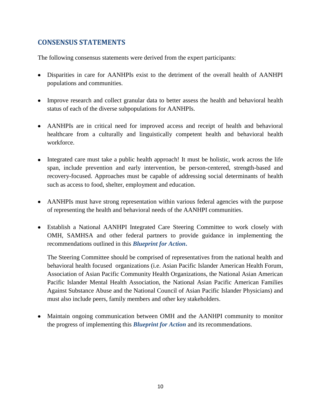# **CONSENSUS STATEMENTS**

The following consensus statements were derived from the expert participants:

- Disparities in care for AANHPIs exist to the detriment of the overall health of AANHPI populations and communities.
- Improve research and collect granular data to better assess the health and behavioral health status of each of the diverse subpopulations for AANHPIs.
- AANHPIs are in critical need for improved access and receipt of health and behavioral healthcare from a culturally and linguistically competent health and behavioral health workforce.
- Integrated care must take a public health approach! It must be holistic, work across the life span, include prevention and early intervention, be person-centered, strength-based and recovery-focused. Approaches must be capable of addressing social determinants of health such as access to food, shelter, employment and education.
- AANHPIs must have strong representation within various federal agencies with the purpose of representing the health and behavioral needs of the AANHPI communities.
- Establish a National AANHPI Integrated Care Steering Committee to work closely with OMH, SAMHSA and other federal partners to provide guidance in implementing the recommendations outlined in this *Blueprint for Action***.**

The Steering Committee should be comprised of representatives from the national health and behavioral health focused organizations (i.e. Asian Pacific Islander American Health Forum, Association of Asian Pacific Community Health Organizations, the National Asian American Pacific Islander Mental Health Association, the National Asian Pacific American Families Against Substance Abuse and the National Council of Asian Pacific Islander Physicians) and must also include peers, family members and other key stakeholders.

Maintain ongoing communication between OMH and the AANHPI community to monitor the progress of implementing this *Blueprint for Action* and its recommendations.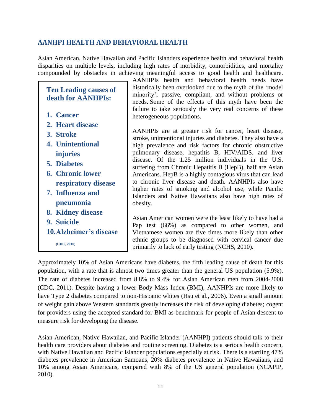# **AANHPI HEALTH AND BEHAVIORAL HEALTH**

Asian American, Native Hawaiian and Pacific Islanders experience health and behavioral health disparities on multiple levels, including high rates of morbidity, comorbidities, and mortality compounded by obstacles in achieving meaningful access to good health and healthcare.

# **Ten Leading causes of death for AANHPIs:**

- **1. Cancer**
- **2. Heart disease**
- **3. Stroke**
- **4. Unintentional injuries**
- **5. Diabetes**
- **6. Chronic lower respiratory disease**
- **7. Influenza and pneumonia**
- **8. Kidney disease**
- **9. Suicide**
- **10.Alzheimer's disease**

**(CDC, 2010)**

AANHPIs health and behavioral health needs have historically been overlooked due to the myth of the 'model minority'; passive, compliant, and without problems or needs. Some of the effects of this myth have been the failure to take seriously the very real concerns of these heterogeneous populations.

AANHPIs are at greater risk for cancer, heart disease, stroke, unintentional injuries and diabetes. They also have a high prevalence and risk factors for chronic obstructive pulmonary disease, hepatitis B, HIV/AIDS, and liver disease. Of the 1.25 million individuals in the U.S. suffering from Chronic Hepatitis B (HepB), half are Asian Americans. HepB is a highly contagious virus that can lead to chronic liver disease and death. AANHPIs also have higher rates of smoking and alcohol use, while Pacific Islanders and Native Hawaiians also have high rates of obesity.

Asian American women were the least likely to have had a Pap test (66%) as compared to other women, and Vietnamese women are five times more likely than other ethnic groups to be diagnosed with cervical cancer due primarily to lack of early testing (NCHS, 2010).

Approximately 10% of Asian Americans have diabetes, the fifth leading cause of death for this population, with a rate that is almost two times greater than the general US population (5.9%). The rate of diabetes increased from 8.8% to 9.4% for Asian American men from 2004-2008 (CDC, 2011). Despite having a lower Body Mass Index (BMI), AANHPIs are more likely to have Type 2 diabetes compared to non-Hispanic whites (Hsu et al., 2006). Even a small amount of weight gain above Western standards greatly increases the risk of developing diabetes; cogent for providers using the accepted standard for BMI as benchmark for people of Asian descent to measure risk for developing the disease.

Asian American, Native Hawaiian, and Pacific Islander (AANHPI) patients should talk to their health care providers about diabetes and routine screening. Diabetes is a serious health concern, with Native Hawaiian and Pacific Islander populations especially at risk. There is a startling 47% diabetes prevalence in American Samoans, 20% diabetes prevalence in Native Hawaiians, and 10% among Asian Americans, compared with 8% of the US general population (NCAPIP, 2010).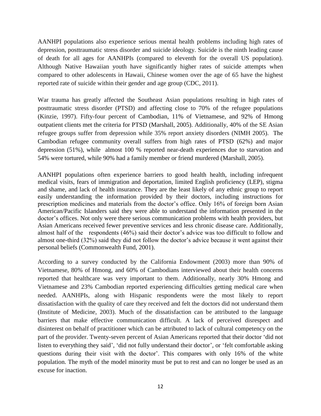AANHPI populations also experience serious mental health problems including high rates of depression, posttraumatic stress disorder and suicide ideology. Suicide is the ninth leading cause of death for all ages for AANHPIs (compared to eleventh for the overall US population). Although Native Hawaiian youth have significantly higher rates of suicide attempts when compared to other adolescents in Hawaii, Chinese women over the age of 65 have the highest reported rate of suicide within their gender and age group (CDC, 2011).

War trauma has greatly affected the Southeast Asian populations resulting in high rates of posttraumatic stress disorder (PTSD) and affecting close to 70% of the refugee populations (Kinzie, 1997). Fifty-four percent of Cambodian, 11% of Vietnamese, and 92% of Hmong outpatient clients met the criteria for PTSD (Marshall, 2005). Additionally, 40% of the SE Asian refugee groups suffer from depression while 35% report anxiety disorders (NIMH 2005). The Cambodian refugee community overall suffers from high rates of PTSD (62%) and major depression (51%), while almost 100 % reported near-death experiences due to starvation and 54% were tortured, while 90% had a family member or friend murdered (Marshall, 2005).

AANHPI populations often experience barriers to good health health, including infrequent medical visits, fears of immigration and deportation, limited English proficiency (LEP), stigma and shame, and lack of health insurance. They are the least likely of any ethnic group to report easily understanding the information provided by their doctors, including instructions for prescription medicines and materials from the doctor's office. Only 16% of foreign born Asian American/Pacific Islanders said they were able to understand the information presented in the doctor's offices. Not only were there serious communication problems with health providers, but Asian Americans received fewer preventive services and less chronic disease care. Additionally, almost half of the respondents (46%) said their doctor's advice was too difficult to follow and almost one-third (32%) said they did not follow the doctor's advice because it went against their personal beliefs (Commonwealth Fund, 2001).

According to a survey conducted by the California Endowment (2003) more than 90% of Vietnamese, 80% of Hmong, and 60% of Cambodians interviewed about their health concerns reported that healthcare was very important to them. Additionally, nearly 30% Hmong and Vietnamese and 23% Cambodian reported experiencing difficulties getting medical care when needed. AANHPIs, along with Hispanic respondents were the most likely to report dissatisfaction with the quality of care they received and felt the doctors did not understand them (Institute of Medicine, 2003). Much of the dissatisfaction can be attributed to the language barriers that make effective communication difficult. A lack of perceived disrespect and disinterest on behalf of practitioner which can be attributed to lack of cultural competency on the part of the provider. Twenty-seven percent of Asian Americans reported that their doctor 'did not listen to everything they said', 'did not fully understand their doctor', or 'felt comfortable asking questions during their visit with the doctor'. This compares with only 16% of the white population. The myth of the model minority must be put to rest and can no longer be used as an excuse for inaction.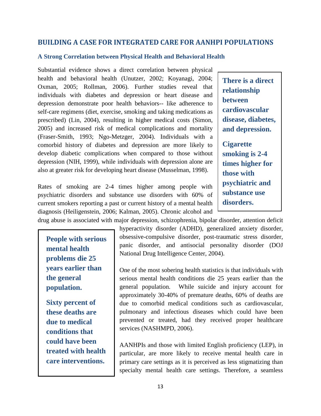# **BUILDING A CASE FOR INTEGRATED CARE FOR AANHPI POPULATIONS**

### **A Strong Correlation between Physical Health and Behavioral Health**

Substantial evidence shows a direct correlation between physical health and behavioral health (Unutzer, 2002; Koyanagi, 2004; Oxman, 2005; Rollman, 2006). Further studies reveal that individuals with diabetes and depression or heart disease and depression demonstrate poor health behaviors-- like adherence to self-care regimens (diet, exercise, smoking and taking medications as prescribed) (Lin, 2004), resulting in higher medical costs (Simon, 2005) and increased risk of medical complications and mortality (Fraser-Smith, 1993; Ngo-Metzger, 2004). Individuals with a comorbid history of diabetes and depression are more likely to develop diabetic complications when compared to those without depression (NIH, 1999), while individuals with depression alone are also at greater risk for developing heart disease (Musselman, 1998).

Rates of smoking are 2-4 times higher among people with psychiatric disorders and substance use disorders with 60% of current smokers reporting a past or current history of a mental health diagnosis (Heiligenstein, 2006; Kalman, 2005). Chronic alcohol and drug abuse is associated with major depression, schizophrenia, bipolar disorder, attention deficit

**People with serious mental health problems die 25 years earlier than the general population.** 

**Sixty percent of these deaths are due to medical conditions that could have been treated with health care interventions.** 

hyperactivity disorder (ADHD), generalized anxiety disorder, obsessive-compulsive disorder, post-traumatic stress disorder, panic disorder, and antisocial personality disorder (DOJ National Drug Intelligence Center, 2004).

One of the most sobering health statistics is that individuals with serious mental health conditions die 25 years earlier than the general population. While suicide and injury account for approximately 30-40% of premature deaths, 60% of deaths are due to comorbid medical conditions such as cardiovascular, pulmonary and infectious diseases which could have been prevented or treated, had they received proper healthcare services (NASHMPD, 2006).

AANHPIs and those with limited English proficiency (LEP), in particular, are more likely to receive mental health care in primary care settings as it is perceived as less stigmatizing than specialty mental health care settings. Therefore, a seamless

**There is a direct relationship between cardiovascular disease, diabetes, and depression.** 

**Cigarette smoking is 2-4 times higher for those with psychiatric and substance use disorders.**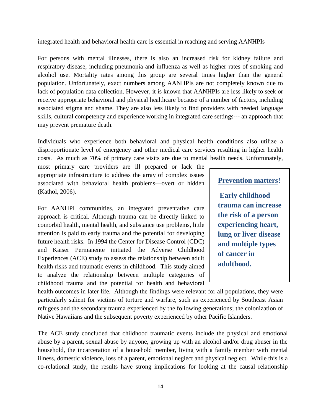#### integrated health and behavioral health care is essential in reaching and serving AANHPIs

For persons with mental illnesses, there is also an increased risk for kidney failure and respiratory disease, including pneumonia and influenza as well as higher rates of smoking and alcohol use. Mortality rates among this group are several times higher than the general population. Unfortunately, exact numbers among AANHPIs are not completely known due to lack of population data collection. However, it is known that AANHPIs are less likely to seek or receive appropriate behavioral and physical healthcare because of a number of factors, including associated stigma and shame. They are also less likely to find providers with needed language skills, cultural competency and experience working in integrated care settings--- an approach that may prevent premature death.

Individuals who experience both behavioral and physical health conditions also utilize a disproportionate level of emergency and other medical care services resulting in higher health costs. As much as 70% of primary care visits are due to mental health needs. Unfortunately,

most primary care providers are ill prepared or lack the appropriate infrastructure to address the array of complex issues associated with behavioral health problems—overt or hidden (Kathol, 2006).

For AANHPI communities, an integrated preventative care approach is critical. Although trauma can be directly linked to comorbid health, mental health, and substance use problems, little attention is paid to early trauma and the potential for developing future health risks. In 1994 the Center for Disease Control (CDC) and Kaiser Permanente initiated the Adverse Childhood Experiences (ACE) study to assess the relationship between adult health risks and traumatic events in childhood. This study aimed to analyze the relationship between multiple categories of childhood trauma and the potential for health and behavioral

# **Prevention matters!**

**Early childhood trauma can increase the risk of a person experiencing heart, lung or liver disease and multiple types of cancer in adulthood.**

health outcomes in later life. Although the findings were relevant for all populations, they were particularly salient for victims of torture and warfare, such as experienced by Southeast Asian refugees and the secondary trauma experienced by the following generations; the colonization of Native Hawaiians and the subsequent poverty experienced by other Pacific Islanders.

The ACE study concluded that childhood traumatic events include the physical and emotional abuse by a parent, sexual abuse by anyone, growing up with an alcohol and/or drug abuser in the household, the incarceration of a household member, living with a family member with mental illness, domestic violence, loss of a parent, emotional neglect and physical neglect. While this is a co-relational study, the results have strong implications for looking at the causal relationship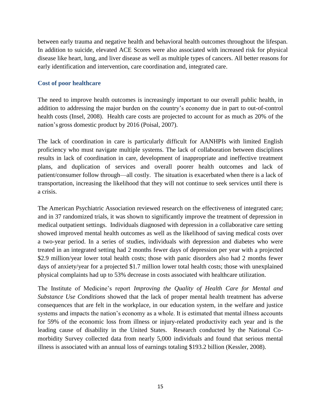between early trauma and negative health and behavioral health outcomes throughout the lifespan. In addition to suicide, elevated ACE Scores were also associated with increased risk for physical disease like heart, lung, and liver disease as well as multiple types of cancers. All better reasons for early identification and intervention, care coordination and, integrated care.

### **Cost of poor healthcare**

The need to improve health outcomes is increasingly important to our overall public health, in addition to addressing the major burden on the country's economy due in part to out-of-control health costs (Insel, 2008). Health care costs are projected to account for as much as 20% of the nation's gross domestic product by 2016 (Poisal, 2007).

The lack of coordination in care is particularly difficult for AANHPIs with limited English proficiency who must navigate multiple systems. The lack of collaboration between disciplines results in lack of coordination in care, development of inappropriate and ineffective treatment plans, and duplication of services and overall poorer health outcomes and lack of patient/consumer follow through—all costly. The situation is exacerbated when there is a lack of transportation, increasing the likelihood that they will not continue to seek services until there is a crisis.

The American Psychiatric Association reviewed research on the effectiveness of integrated care; and in 37 randomized trials, it was shown to significantly improve the treatment of depression in medical outpatient settings. Individuals diagnosed with depression in a collaborative care setting showed improved mental health outcomes as well as the likelihood of saving medical costs over a two-year period. In a series of studies, individuals with depression and diabetes who were treated in an integrated setting had 2 months fewer days of depression per year with a projected \$2.9 million/year lower total health costs; those with panic disorders also had 2 months fewer days of anxiety/year for a projected \$1.7 million lower total health costs; those with unexplained physical complaints had up to 53% decrease in costs associated with healthcare utilization.

The Institute of Medicine's report *Improving the Quality of Health Care for Mental and Substance Use Conditions* showed that the lack of proper mental health treatment has adverse consequences that are felt in the workplace, in our education system, in the welfare and justice systems and impacts the nation's economy as a whole. It is estimated that mental illness accounts for 59% of the economic loss from illness or injury-related productivity each year and is the leading cause of disability in the United States. Research conducted by the National Comorbidity Survey collected data from nearly 5,000 individuals and found that serious mental illness is associated with an annual loss of earnings totaling \$193.2 billion (Kessler, 2008).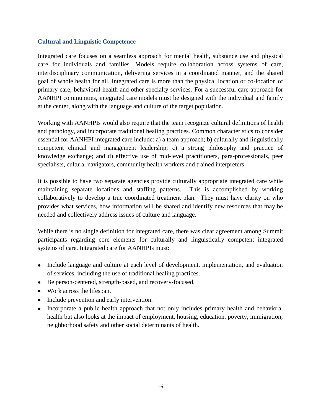### **Cultural and Linguistic Competence**

Integrated care focuses on a seamless approach for mental health, substance use and physical care for individuals and families. Models require collaboration across systems of care, interdisciplinary communication, delivering services in a coordinated manner, and the shared goal of whole health for all. Integrated care is more than the physical location or co-location of primary care, behavioral health and other specialty services. For a successful care approach for AANHPI communities, integrated care models must be designed with the individual and family at the center, along with the language and culture of the target population.

Working with AANHPIs would also require that the team recognize cultural definitions of health and pathology, and incorporate traditional healing practices. Common characteristics to consider essential for AANHPI integrated care include: a) a team approach; b) culturally and linguistically competent clinical and management leadership; c) a strong philosophy and practice of knowledge exchange; and d) effective use of mid-level practitioners, para-professionals, peer specialists, cultural navigators, community health workers and trained interpreters.

It is possible to have two separate agencies provide culturally appropriate integrated care while maintaining separate locations and staffing patterns. This is accomplished by working collaboratively to develop a true coordinated treatment plan. They must have clarity on who provides what services, how information will be shared and identify new resources that may be needed and collectively address issues of culture and language.

While there is no single definition for integrated care, there was clear agreement among Summit participants regarding core elements for culturally and linguistically competent integrated systems of care. Integrated care for AANHPIs must:

- Include language and culture at each level of development, implementation, and evaluation of services, including the use of traditional healing practices.
- Be person-centered, strength-based, and recovery-focused.
- Work across the lifespan.
- Include prevention and early intervention.
- $\bullet$ Incorporate a public health approach that not only includes primary health and behavioral health but also looks at the impact of employment, housing, education, poverty, immigration, neighborhood safety and other social determinants of health.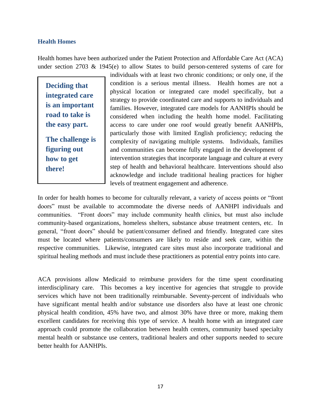### **Health Homes**

Health homes have been authorized under the Patient Protection and Affordable Care Act (ACA) under section 2703 & 1945(e) to allow States to build person-centered systems of care for

**Deciding that integrated care is an important road to take is the easy part.**

**The challenge is figuring out how to get there!**

individuals with at least two chronic conditions; or only one, if the condition is a serious mental illness. Health homes are not a physical location or integrated care model specifically, but a strategy to provide coordinated care and supports to individuals and families. However, integrated care models for AANHPIs should be considered when including the health home model. Facilitating access to care under one roof would greatly benefit AANHPIs, particularly those with limited English proficiency; reducing the complexity of navigating multiple systems. Individuals, families and communities can become fully engaged in the development of intervention strategies that incorporate language and culture at every step of health and behavioral healthcare. Interventions should also acknowledge and include traditional healing practices for higher levels of treatment engagement and adherence.

In order for health homes to become for culturally relevant, a variety of access points or "front" doors" must be available to accommodate the diverse needs of AANHPI individuals and communities. "Front doors" may include community health clinics, but must also include community-based organizations, homeless shelters, substance abuse treatment centers, etc. In general, "front doors" should be patient/consumer defined and friendly. Integrated care sites must be located where patients/consumers are likely to reside and seek care, within the respective communities. Likewise, integrated care sites must also incorporate traditional and spiritual healing methods and must include these practitioners as potential entry points into care.

ACA provisions allow Medicaid to reimburse providers for the time spent coordinating interdisciplinary care. This becomes a key incentive for agencies that struggle to provide services which have not been traditionally reimbursable. Seventy-percent of individuals who have significant mental health and/or substance use disorders also have at least one chronic physical health condition, 45% have two, and almost 30% have three or more, making them excellent candidates for receiving this type of service. A health home with an integrated care approach could promote the collaboration between health centers, community based specialty mental health or substance use centers, traditional healers and other supports needed to secure better health for AANHPIs.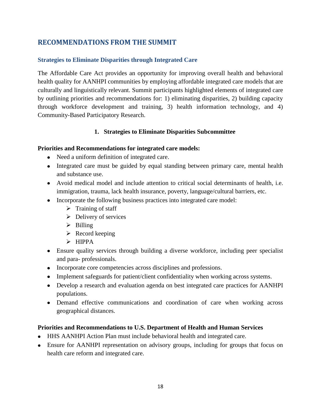# **RECOMMENDATIONS FROM THE SUMMIT**

# **Strategies to Eliminate Disparities through Integrated Care**

The Affordable Care Act provides an opportunity for improving overall health and behavioral health quality for AANHPI communities by employing affordable integrated care models that are culturally and linguistically relevant. Summit participants highlighted elements of integrated care by outlining priorities and recommendations for: 1) eliminating disparities, 2) building capacity through workforce development and training, 3) health information technology, and 4) Community-Based Participatory Research.

# **1. Strategies to Eliminate Disparities Subcommittee**

### **Priorities and Recommendations for integrated care models:**

- Need a uniform definition of integrated care.
- Integrated care must be guided by equal standing between primary care, mental health and substance use.
- Avoid medical model and include attention to critical social determinants of health, i.e. immigration, trauma, lack health insurance, poverty, language/cultural barriers, etc.
- Incorporate the following business practices into integrated care model:
	- $\triangleright$  Training of staff
	- $\triangleright$  Delivery of services
	- $\triangleright$  Billing
	- $\triangleright$  Record keeping
	- $\triangleright$  HIPPA
- Ensure quality services through building a diverse workforce, including peer specialist and para- professionals.
- Incorporate core competencies across disciplines and professions.
- Implement safeguards for patient/client confidentiality when working across systems.
- Develop a research and evaluation agenda on best integrated care practices for AANHPI populations.
- Demand effective communications and coordination of care when working across geographical distances.

# **Priorities and Recommendations to U.S. Department of Health and Human Services**

- HHS AANHPI Action Plan must include behavioral health and integrated care.
- Ensure for AANHPI representation on advisory groups, including for groups that focus on health care reform and integrated care.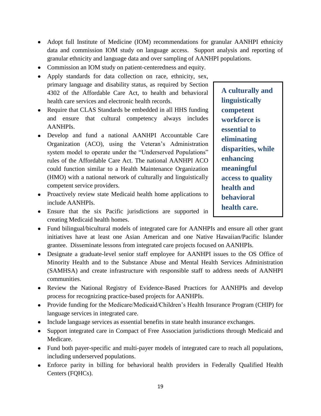- Adopt full Institute of Medicine (IOM) recommendations for granular AANHPI ethnicity data and commission IOM study on language access. Support analysis and reporting of granular ethnicity and language data and over sampling of AANHPI populations.
- Commission an IOM study on patient-centeredness and equity.
- Apply standards for data collection on race, ethnicity, sex, primary language and disability status, as required by Section 4302 of the Affordable Care Act, to health and behavioral health care services and electronic health records.
- Require that CLAS Standards be embedded in all HHS funding and ensure that cultural competency always includes AANHPIs.
- Develop and fund a national AANHPI Accountable Care Organization (ACO), using the Veteran's Administration system model to operate under the "Underserved Populations" rules of the Affordable Care Act. The national AANHPI ACO could function similar to a Health Maintenance Organization (HMO) with a national network of culturally and linguistically competent service providers.

• Proactively review state Medicaid health home applications to include AANHPIs.

**A culturally and linguistically competent workforce is essential to eliminating disparities, while enhancing meaningful access to quality health and behavioral health care.**

- Ensure that the six Pacific jurisdictions are supported in creating Medicaid health homes.
- Fund bilingual/bicultural models of integrated care for AANHPIs and ensure all other grant initiatives have at least one Asian American and one Native Hawaiian/Pacific Islander grantee. Disseminate lessons from integrated care projects focused on AANHPIs.
- Designate a graduate-level senior staff employee for AANHPI issues to the OS Office of Minority Health and to the Substance Abuse and Mental Health Services Administration (SAMHSA) and create infrastructure with responsible staff to address needs of AANHPI communities.
- Review the National Registry of Evidence-Based Practices for AANHPIs and develop process for recognizing practice-based projects for AANHPIs.
- Provide funding for the Medicare/Medicaid/Children's Health Insurance Program (CHIP) for language services in integrated care.
- Include language services as essential benefits in state health insurance exchanges.
- Support integrated care in Compact of Free Association jurisdictions through Medicaid and Medicare.
- Fund both payer-specific and multi-payer models of integrated care to reach all populations, including underserved populations.
- Enforce parity in billing for behavioral health providers in Federally Qualified Health Centers (FQHCs).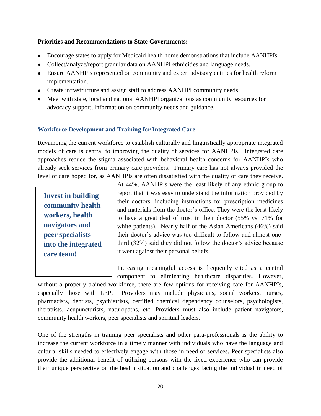### **Priorities and Recommendations to State Governments:**

- Encourage states to apply for Medicaid health home demonstrations that include AANHPIs.
- Collect/analyze/report granular data on AANHPI ethnicities and language needs.
- Ensure AANHPIs represented on community and expert advisory entities for health reform implementation.
- Create infrastructure and assign staff to address AANHPI community needs.
- Meet with state, local and national AANHPI organizations as community resources for advocacy support, information on community needs and guidance.

# **Workforce Development and Training for Integrated Care**

Revamping the current workforce to establish culturally and linguistically appropriate integrated models of care is central to improving the quality of services for AANHPIs. Integrated care approaches reduce the stigma associated with behavioral health concerns for AANHPIs who already seek services from primary care providers. Primary care has not always provided the level of care hoped for, as AANHPIs are often dissatisfied with the quality of care they receive.

**Invest in building community health workers, health navigators and peer specialists into the integrated care team!**

At 44%, AANHPIs were the least likely of any ethnic group to report that it was easy to understand the information provided by their doctors, including instructions for prescription medicines and materials from the doctor's office. They were the least likely to have a great deal of trust in their doctor (55% vs. 71% for white patients). Nearly half of the Asian Americans (46%) said their doctor's advice was too difficult to follow and almost onethird (32%) said they did not follow the doctor's advice because it went against their personal beliefs.

Increasing meaningful access is frequently cited as a central component to eliminating healthcare disparities. However,

without a properly trained workforce, there are few options for receiving care for AANHPIs, especially those with LEP. Providers may include physicians, social workers, nurses, pharmacists, dentists, psychiatrists, certified chemical dependency counselors, psychologists, therapists, acupuncturists, naturopaths, etc. Providers must also include patient navigators, community health workers, peer specialists and spiritual leaders.

One of the strengths in training peer specialists and other para-professionals is the ability to increase the current workforce in a timely manner with individuals who have the language and cultural skills needed to effectively engage with those in need of services. Peer specialists also provide the additional benefit of utilizing persons with the lived experience who can provide their unique perspective on the health situation and challenges facing the individual in need of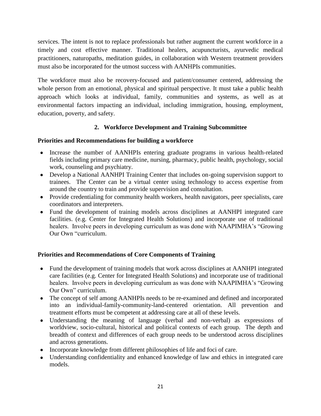services. The intent is not to replace professionals but rather augment the current workforce in a timely and cost effective manner. Traditional healers, acupuncturists, ayurvedic medical practitioners, naturopaths, meditation guides, in collaboration with Western treatment providers must also be incorporated for the utmost success with AANHPIs communities.

The workforce must also be recovery-focused and patient/consumer centered, addressing the whole person from an emotional, physical and spiritual perspective. It must take a public health approach which looks at individual, family, communities and systems, as well as at environmental factors impacting an individual, including immigration, housing, employment, education, poverty, and safety.

# **2. Workforce Development and Training Subcommittee**

# **Priorities and Recommendations for building a workforce**

- Increase the number of AANHPIs entering graduate programs in various health-related fields including primary care medicine, nursing, pharmacy, public health, psychology, social work, counseling and psychiatry.
- Develop a National AANHPI Training Center that includes on-going supervision support to trainees. The Center can be a virtual center using technology to access expertise from around the country to train and provide supervision and consultation.
- Provide credentialing for community health workers, health navigators, peer specialists, care coordinators and interpreters.
- Fund the development of training models across disciplines at AANHPI integrated care facilities. (e.g. Center for Integrated Health Solutions) and incorporate use of traditional healers. Involve peers in developing curriculum as was done with NAAPIMHA's "Growing" Our Own "curriculum.

# **Priorities and Recommendations of Core Components of Training**

- Fund the development of training models that work across disciplines at AANHPI integrated care facilities (e.g. Center for Integrated Health Solutions) and incorporate use of traditional healers. Involve peers in developing curriculum as was done with NAAPIMHA's "Growing Our Own" curriculum.
- The concept of self among AANHPIs needs to be re-examined and defined and incorporated into an individual-family-community-land-centered orientation. All prevention and treatment efforts must be competent at addressing care at all of these levels.
- Understanding the meaning of language (verbal and non-verbal) as expressions of  $\bullet$ worldview, socio-cultural, historical and political contexts of each group. The depth and breadth of context and differences of each group needs to be understood across disciplines and across generations.
- Incorporate knowledge from different philosophies of life and foci of care.
- Understanding confidentiality and enhanced knowledge of law and ethics in integrated care models.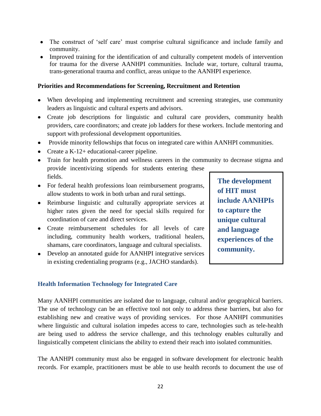- The construct of 'self care' must comprise cultural significance and include family and community.
- Improved training for the identification of and culturally competent models of intervention for trauma for the diverse AANHPI communities. Include war, torture, cultural trauma, trans-generational trauma and conflict, areas unique to the AANHPI experience.

### **Priorities and Recommendations for Screening, Recruitment and Retention**

- When developing and implementing recruitment and screening strategies, use community leaders as linguistic and cultural experts and advisors.
- Create job descriptions for linguistic and cultural care providers, community health providers, care coordinators; and create job ladders for these workers. Include mentoring and support with professional development opportunities.
- Provide minority fellowships that focus on integrated care within AANHPI communities.
- Create a K-12+ educational-career pipeline.
- Train for health promotion and wellness careers in the community to decrease stigma and provide incentivizing stipends for students entering these fields.
- For federal health professions loan reimbursement programs, allow students to work in both urban and rural settings.
- Reimburse linguistic and culturally appropriate services at higher rates given the need for special skills required for coordination of care and direct services.
- Create reimbursement schedules for all levels of care including, community health workers, traditional healers, shamans, care coordinators, language and cultural specialists.
- Develop an annotated guide for AANHPI integrative services in existing credentialing programs (e.g., JACHO standards).

**The development of HIT must include AANHPIs to capture the unique cultural and language experiences of the community.**

#### **Health Information Technology for Integrated Care**

Many AANHPI communities are isolated due to language, cultural and/or geographical barriers. The use of technology can be an effective tool not only to address these barriers, but also for establishing new and creative ways of providing services. For those AANHPI communities where linguistic and cultural isolation impedes access to care, technologies such as tele-health are being used to address the service challenge, and this technology enables culturally and linguistically competent clinicians the ability to extend their reach into isolated communities.

The AANHPI community must also be engaged in software development for electronic health records. For example, practitioners must be able to use health records to document the use of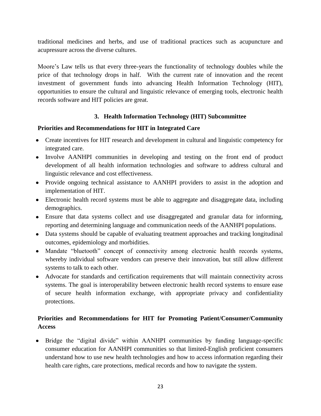traditional medicines and herbs, and use of traditional practices such as acupuncture and acupressure across the diverse cultures.

Moore's Law tells us that every three-years the functionality of technology doubles while the price of that technology drops in half. With the current rate of innovation and the recent investment of government funds into advancing Health Information Technology (HIT), opportunities to ensure the cultural and linguistic relevance of emerging tools, electronic health records software and HIT policies are great.

# **3. Health Information Technology (HIT) Subcommittee**

# **Priorities and Recommendations for HIT in Integrated Care**

- Create incentives for HIT research and development in cultural and linguistic competency for integrated care.
- Involve AANHPI communities in developing and testing on the front end of product development of all health information technologies and software to address cultural and linguistic relevance and cost effectiveness.
- Provide ongoing technical assistance to AANHPI providers to assist in the adoption and implementation of HIT.
- Electronic health record systems must be able to aggregate and disaggregate data, including demographics.
- Ensure that data systems collect and use disaggregated and granular data for informing, reporting and determining language and communication needs of the AANHPI populations.
- Data systems should be capable of evaluating treatment approaches and tracking longitudinal outcomes, epidemiology and morbidities.
- Mandate "bluetooth" concept of connectivity among electronic health records systems, whereby individual software vendors can preserve their innovation, but still allow different systems to talk to each other.
- Advocate for standards and certification requirements that will maintain connectivity across systems. The goal is interoperability between electronic health record systems to ensure ease of secure health information exchange, with appropriate privacy and confidentiality protections.

# **Priorities and Recommendations for HIT for Promoting Patient/Consumer/Community Access**

• Bridge the "digital divide" within AANHPI communities by funding language-specific consumer education for AANHPI communities so that limited-English proficient consumers understand how to use new health technologies and how to access information regarding their health care rights, care protections, medical records and how to navigate the system.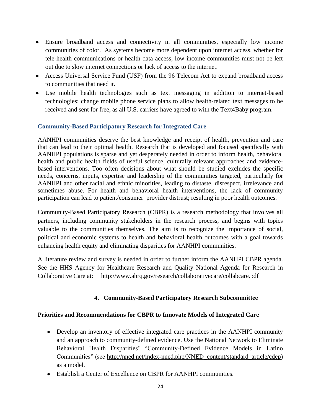- Ensure broadband access and connectivity in all communities, especially low income communities of color. As systems become more dependent upon internet access, whether for tele-health communications or health data access, low income communities must not be left out due to slow internet connections or lack of access to the internet.
- Access Universal Service Fund (USF) from the 96 Telecom Act to expand broadband access to communities that need it.
- Use mobile health technologies such as text messaging in addition to internet-based technologies; change mobile phone service plans to allow health-related text messages to be received and sent for free, as all U.S. carriers have agreed to with the Text4Baby program.

# **Community-Based Participatory Research for Integrated Care**

AANHPI communities deserve the best knowledge and receipt of health, prevention and care that can lead to their optimal health. Research that is developed and focused specifically with AANHPI populations is sparse and yet desperately needed in order to inform health, behavioral health and public health fields of useful science, culturally relevant approaches and evidencebased interventions. Too often decisions about what should be studied excludes the specific needs, concerns, inputs, expertise and leadership of the communities targeted, particularly for AANHPI and other racial and ethnic minorities, leading to distaste, disrespect, irrelevance and sometimes abuse. For health and behavioral health interventions, the lack of community participation can lead to patient/consumer–provider distrust; resulting in poor health outcomes.

Community-Based Participatory Research (CBPR) is a research methodology that involves all partners, including community stakeholders in the research process, and begins with topics valuable to the communities themselves. The aim is to recognize the importance of social, political and economic systems to health and behavioral health outcomes with a goal towards enhancing health equity and eliminating disparities for AANHPI communities.

A literature review and survey is needed in order to further inform the AANHPI CBPR agenda. See the HHS Agency for Healthcare Research and Quality National Agenda for Research in Collaborative Care at: <http://www.ahrq.gov/research/collaborativecare/collabcare.pdf>

# **4. Community-Based Participatory Research Subcommittee**

# **Priorities and Recommendations for CBPR to Innovate Models of Integrated Care**

- Develop an inventory of effective integrated care practices in the AANHPI community and an approach to community-defined evidence. Use the National Network to Eliminate Behavioral Health Disparities' "Community-Defined Evidence Models in Latino Communities" (see [http://nned.net/index-nned.php/NNED\\_content/standard\\_article/cdep\)](http://nned.net/index-nned.php/NNED_content/standard_article/cdep) as a model.
- Establish a Center of Excellence on CBPR for AANHPI communities.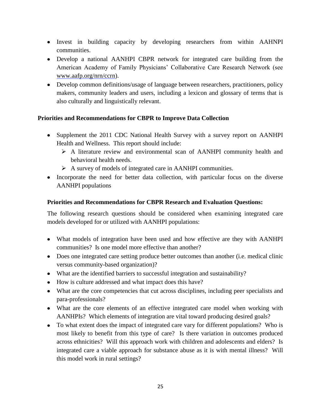- Invest in building capacity by developing researchers from within AAHNPI communities.
- Develop a national AANHPI CBPR network for integrated care building from the American Academy of Family Physicians' Collaborative Care Research Network (see [www.aafp.org/nrn/ccrn\)](http://www.aafp.org/nrn/ccrn).
- Develop common definitions/usage of language between researchers, practitioners, policy makers, community leaders and users, including a lexicon and glossary of terms that is also culturally and linguistically relevant.

# **Priorities and Recommendations for CBPR to Improve Data Collection**

- Supplement the 2011 CDC National Health Survey with a survey report on AANHPI Health and Wellness. This report should include:
	- A literature review and environmental scan of AANHPI community health and behavioral health needs.
	- $\triangleright$  A survey of models of integrated care in AANHPI communities.
- Incorporate the need for better data collection, with particular focus on the diverse AANHPI populations

# **Priorities and Recommendations for CBPR Research and Evaluation Questions:**

The following research questions should be considered when examining integrated care models developed for or utilized with AANHPI populations:

- What models of integration have been used and how effective are they with AANHPI communities? Is one model more effective than another?
- Does one integrated care setting produce better outcomes than another (i.e. medical clinic versus community-based organization)?
- What are the identified barriers to successful integration and sustainability?
- How is culture addressed and what impact does this have?
- What are the core competencies that cut across disciplines, including peer specialists and para-professionals?
- What are the core elements of an effective integrated care model when working with AANHPIs? Which elements of integration are vital toward producing desired goals?
- To what extent does the impact of integrated care vary for different populations? Who is most likely to benefit from this type of care? Is there variation in outcomes produced across ethnicities? Will this approach work with children and adolescents and elders? Is integrated care a viable approach for substance abuse as it is with mental illness? Will this model work in rural settings?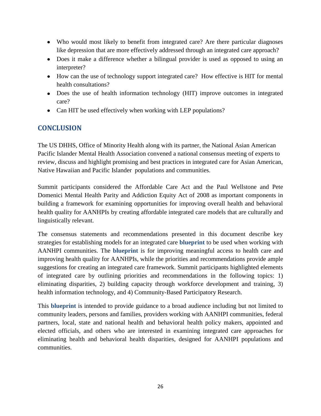- Who would most likely to benefit from integrated care? Are there particular diagnoses like depression that are more effectively addressed through an integrated care approach?
- Does it make a difference whether a bilingual provider is used as opposed to using an interpreter?
- How can the use of technology support integrated care? How effective is HIT for mental health consultations?
- Does the use of health information technology (HIT) improve outcomes in integrated care?
- Can HIT be used effectively when working with LEP populations?

# **CONCLUSION**

The US DHHS, Office of Minority Health along with its partner, the National Asian American Pacific Islander Mental Health Association convened a national consensus meeting of experts to review, discuss and highlight promising and best practices in integrated care for Asian American, Native Hawaiian and Pacific Islander populations and communities.

Summit participants considered the Affordable Care Act and the Paul Wellstone and Pete Domenici Mental Health Parity and Addiction Equity Act of 2008 as important components in building a framework for examining opportunities for improving overall health and behavioral health quality for AANHPIs by creating affordable integrated care models that are culturally and linguistically relevant.

The consensus statements and recommendations presented in this document describe key strategies for establishing models for an integrated care **blueprint** to be used when working with AANHPI communities. The **blueprint** is for improving meaningful access to health care and improving health quality for AANHPIs, while the priorities and recommendations provide ample suggestions for creating an integrated care framework. Summit participants highlighted elements of integrated care by outlining priorities and recommendations in the following topics: 1) eliminating disparities, 2) building capacity through workforce development and training, 3) health information technology, and 4) Community-Based Participatory Research.

This **blueprint** is intended to provide guidance to a broad audience including but not limited to community leaders, persons and families, providers working with AANHPI communities, federal partners, local, state and national health and behavioral health policy makers, appointed and elected officials, and others who are interested in examining integrated care approaches for eliminating health and behavioral health disparities, designed for AANHPI populations and communities.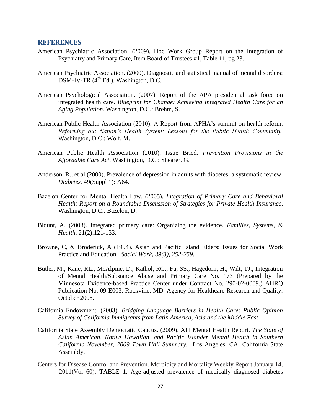#### **REFERENCES**

- American Psychiatric Association. (2009). Hoc Work Group Report on the Integration of Psychiatry and Primary Care, Item Board of Trustees #1, Table 11, pg 23.
- American Psychiatric Association. (2000). Diagnostic and statistical manual of mental disorders: DSM-IV-TR (4<sup>th</sup> Ed.). Washington, D.C.
- American Psychological Association. (2007). Report of the APA presidential task force on integrated health care*. Blueprint for Change: Achieving Integrated Health Care for an Aging Population.* Washington, D.C.: Brehm, S.
- American Public Health Association (2010). A Report from APHA's summit on health reform. *Reforming out Nation's Health System: Lessons for the Public Health Community.*  Washington, D.C.: Wolf, M.
- American Public Health Association (2010). Issue Bried. *Prevention Provisions in the Affordable Care Act*. Washington, D.C.: Shearer. G.
- Anderson, R., et al (2000). Prevalence of depression in adults with diabetes: a systematic review. *Diabetes.* 49(Suppl 1): A64.
- Bazelon Center for Mental Health Law. (2005). *Integration of Primary Care and Behavioral Health: Report on a Roundtable Discussion of Strategies for Private Health Insurance*. Washington, D.C.: Bazelon, D.
- Blount, A. (2003). Integrated primary care: Organizing the evidence. *Families, Systems, & Health*. 21(2):121-133.
- Browne, C, & Broderick, A (1994). Asian and Pacific Island Elders: Issues for Social Work Practice and Education. *Social Work, 39(3), 252-259.*
- Butler, M., Kane, RL., McAlpine, D., Kathol, RG., Fu, SS., Hagedorn, H., Wilt, TJ., Integration of Mental Health/Substance Abuse and Primary Care No. 173 (Prepared by the Minnesota Evidence-based Practice Center under Contract No. 290-02-0009.) AHRQ Publication No. 09-E003. Rockville, MD. Agency for Healthcare Research and Quality. October 2008.
- California Endowment. (2003). *Bridging Language Barriers in Health Care: Public Opinion Survey of California Immigrants from Latin America, Asia and the Middle East*.
- California State Assembly Democratic Caucus. (2009). API Mental Health Report. *The State of Asian American, Native Hawaiian, and Pacific Islander Mental Health in Southern California November, 2009 Town Hall Summary.* Los Angeles, CA: California State Assembly.
- Centers for Disease Control and Prevention. Morbidity and Mortality Weekly Report January 14, 2011(Vol 60): TABLE 1. Age-adjusted prevalence of medically diagnosed diabetes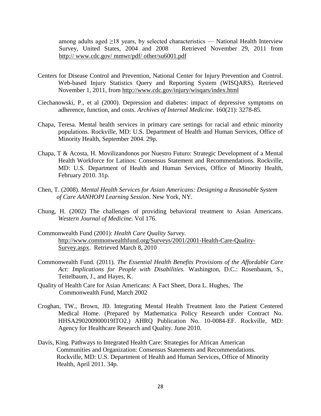among adults aged ≥18 years, by selected characteristics — National Health Interview Survey, United States, 2004 and 2008 Retrieved November 29, 2011 from http:// www.cdc.gov/ mmwr/pdf/ other/su6001.pdf

- Centers for Disease Control and Prevention, National Center for Injury Prevention and Control. Web-based Injury Statistics Query and Reporting System (WISQARS). Retrieved November 1, 2011, from<http://www.cdc.gov/injury/wisqars/index.html>
- Ciechanowski, P., et al (2000). Depression and diabetes: impact of depressive symptoms on adherence, function, and costs. *Archives of Internal Medicine*. 160(21): 3278-85.
- Chapa, Teresa. Mental health services in primary care settings for racial and ethnic minority populations. Rockville, MD: U.S. Department of Health and Human Services, Office of Minority Health, September 2004. 29p.
- Chapa, T & Acosta, H. Movilizandonos por Nuestro Futuro: Strategic Development of a Mental Health Workforce for Latinos: Consensus Statement and Recommendations. Rockville, MD: U.S. Department of Health and Human Services, Office of Minority Health, February 2010. 31p.
- Chen, T. (2008). *Mental Health Services for Asian Americans: Designing a Reasonable System of Care AANHOPI Learning Session*. New York, NY.
- Chung, H. (2002) The challenges of providing behavioral treatment to Asian Americans. *Western Journal of Medicine*. Vol 176.
- Commonwealth Fund (2001): *Health Care Quality Survey*. [http://www.commonwealthfund.org/Surveys/2001/2001-Health-Care-Quality-](http://www.commonwealthfund.org/Surveys/2001/2001-Health-Care-Quality-Survey.aspx)[Survey.aspx.](http://www.commonwealthfund.org/Surveys/2001/2001-Health-Care-Quality-Survey.aspx) Retrieved March 8, 2010
- Commonwealth Fund. (2011). *The Essential Health Benefits Provisions of the Affordable Care Act: Implications for People with Disabilities.* Washington, D.C.: Rosenbaum, S., Teitelbaum, J., and Hayes, K.
- Quality of Health Care for Asian Americans: A Fact Sheet, Dora L. Hughes, The Commonwealth Fund, March 2002
- Croghan, TW., Brown, JD. Integrating Mental Health Treatment Into the Patient Centered Medical Home. (Prepared by Mathematica Policy Research under Contract No. HHSA290200900019ITO2.) AHRQ Publication No. 10-0084-EF. Rockville, MD: Agency for Healthcare Research and Quality. June 2010.
- Davis, King. Pathways to Integrated Health Care: Strategies for African American Communities and Organization: Consensus Statements and Recommendations. Rockville, MD: U.S. Department of Health and Human Services, Office of Minority Health, April 2011. 34p.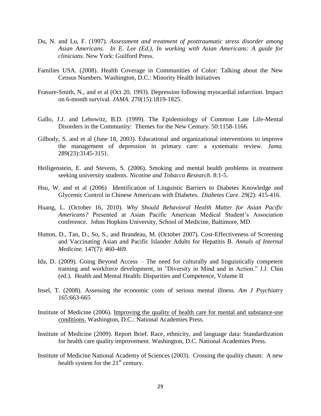- Du, N. and Lu, F. (1997). *Assessment and treatment of posttraumatic stress disorder among Asian Americans. In E. Lee (Ed.), In working with Asian Americans: A guide for clinicians.* New York: Guilford Press.
- Families USA. (2008). Health Coverage in Communities of Color: Talking about the New Census Numbers. Washington, D.C.: Minority Health Initiatives
- Frasure-Smith, N., and et al (Oct 20, 1993). Depression following myocardial infarction. Impact on 6-month survival. *JAMA.* 270(15):1819-1825.
- Gallo, J.J. and Lebowitz, B.D. (1999). The Epidemiology of Common Late Life-Mental Disorders in the Community: Themes for the New Century. 50:1158-1166.
- Gilbody, S. and et al (June 18, 2003). Educational and organizational interventions to improve the management of depression in primary care: a systematic review. *Jama.*  289(23):3145-3151.
- Heiligenstein, E. and Stevens, S. (2006). Smoking and mental health problems in treatment seeking university students. *Nicotine and Tobacco Research*. 8:1-5.
- Hsu, W. and et al (2006) Identification of Linguistic Barriers to Diabetes Knowledge and Glycemic Control in Chinese Americans with Diabetes. *Diabetes Care.* 29(2): 415-416.
- Huang, L. (October 16, 2010). *Why Should Behavioral Health Matter for Asian Pacific Americans?* Presented at Asian Pacific American Medical Student's Association conference. Johns Hopkins University, School of Medicine, Baltimore, MD
- Hutton, D., Tan, D., So, S., and Brandeau, M. (October 2007). Cost-Effectiveness of Screening and Vaccinating Asian and Pacific Islander Adults for Hepatitis B. *Annals of Internal Medicine.* 147(7): 460-469.
- Ida, D. (2009). Going Beyond Access The need for culturally and linguistically competent training and workforce development, in "Diversity in Mind and in Action." J.J. Chin (ed.). Health and Mental Health: Disparities and Competence, Volume II
- Insel, T. (2008). Assessing the economic costs of serious mental illness. *Am J Psychiatry* 165:663-665
- Institute of Medicine (2006). [Improving the quality of health care for mental and substance-use](http://www.iom.edu/?id=30858)  [conditions.](http://www.iom.edu/?id=30858) Washington, D.C.: National Academies Press.
- Institute of Medicine (2009). Report Brief. Race, ethnicity, and language data: Standardization for health care quality improvement. Washington, D.C. National Academies Press.
- Institute of Medicine National Academy of Sciences (2003). Crossing the quality chasm: A new health system for the  $21<sup>st</sup>$  century.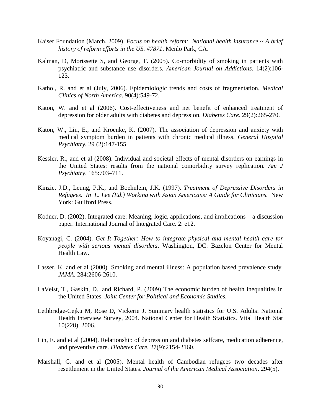- Kaiser Foundation (March, 2009). *Focus on health reform: National health insurance ~ A brief history of reform efforts in the US. #7871*. Menlo Park, CA.
- Kalman, D, Morissette S, and George, T. (2005). Co-morbidity of smoking in patients with psychiatric and substance use disorders. *American Journal on Addictions.* 14(2):106- 123.
- Kathol, R. and et al (July, 2006). Epidemiologic trends and costs of fragmentation. *Medical Clinics of North America*. 90(4):549-72.
- Katon, W. and et al (2006). Cost-effectiveness and net benefit of enhanced treatment of depression for older adults with diabetes and depression. *Diabetes Care.* 29(2):265-270.
- Katon, W., Lin, E., and Kroenke, K. (2007). The association of depression and anxiety with medical symptom burden in patients with chronic medical illness. *General Hospital Psychiatry.* 29 (2):147-155.
- Kessler, R., and et al (2008). Individual and societal effects of mental disorders on earnings in the United States: results from the national comorbidity survey replication. *Am J Psychiatry*. 165:703–711.
- Kinzie, J.D., Leung, P.K., and Boehnlein, J.K. (1997). *Treatment of Depressive Disorders in Refugees. In E. Lee (Ed.) Working with Asian Americans: A Guide for Clinicians.* New York: Guilford Press.
- Kodner, D. (2002). Integrated care: Meaning, logic, applications, and implications a discussion paper. International Journal of Integrated Care. 2: e12.
- Koyanagi, C. (2004). *Get It Together: How to integrate physical and mental health care for people with serious mental disorders*. Washington, DC: Bazelon Center for Mental Health Law.
- Lasser, K. and et al (2000). Smoking and mental illness: A population based prevalence study. *JAMA.* 284:2606-2610.
- LaVeist, T., Gaskin, D., and Richard, P. (2009) The economic burden of health inequalities in the United States. *Joint Center for Political and Economic Studies.*
- Lethbridge-Çejku M, Rose D, Vickerie J. Summary health statistics for U.S. Adults: National Health Interview Survey, 2004. National Center for Health Statistics. Vital Health Stat 10(228). 2006.
- Lin, E. and et al (2004). Relationship of depression and diabetes selfcare, medication adherence, and preventive care. *Diabetes Care.* 27(9):2154-2160.
- Marshall, G. and et al (2005). Mental health of Cambodian refugees two decades after resettlement in the United States. *Journal of the American Medical Association*. 294(5).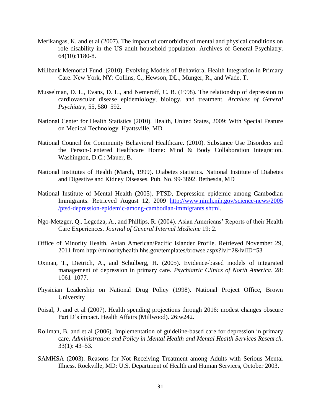- Merikangas, K. and et al (2007). The impact of comorbidity of mental and physical conditions on role disability in the US adult household population. Archives of General Psychiatry. 64(10):1180-8.
- Millbank Memorial Fund. (2010). Evolving Models of Behavioral Health Integration in Primary Care. New York, NY: Collins, C., Hewson, DL., Munger, R., and Wade, T.
- Musselman, D. L., Evans, D. L., and Nemeroff, C. B. (1998). The relationship of depression to cardiovascular disease epidemiology, biology, and treatment. *Archives of General Psychiatry*, 55, 580–592.
- National Center for Health Statistics (2010). Health, United States, 2009: With Special Feature on Medical Technology. Hyattsville, MD.
- National Council for Community Behavioral Healthcare. (2010). Substance Use Disorders and the Person-Centered Healthcare Home: Mind & Body Collaboration Integration. Washington, D.C.: Mauer, B.
- National Institutes of Health (March, 1999). Diabetes statistics*.* National Institute of Diabetes and Digestive and Kidney Diseases. Pub. No. 99-3892. Bethesda, MD
- National Institute of Mental Health (2005). PTSD, Depression epidemic among Cambodian Immigrants. Retrieved August 12, 2009 [http://www.nimh.nih.gov/science-news/2005](http://www.nimh.nih.gov/science-news/2005%20/ptsd-depression-epidemic-among-cambodian-immigrants.shtml)  [/ptsd-depression-epidemic-among-cambodian-immigrants.shtml.](http://www.nimh.nih.gov/science-news/2005%20/ptsd-depression-epidemic-among-cambodian-immigrants.shtml)
- Ngo-Metzger, Q., Legedza, A., and Phillips, R. (2004). Asian Americans' Reports of their Health Care Experiences. *Journal of General Internal Medicine* 19: 2.

.

- Office of Minority Health, Asian American/Pacific Islander Profile. Retrieved November 29, 2011 from http://minorityhealth.hhs.gov/templates/browse.aspx?lvl=2&lvlID=53
- Oxman, T., Dietrich, A., and Schulberg, H. (2005). Evidence-based models of integrated management of depression in primary care. *Psychiatric Clinics of North America*. 28: 1061–1077.
- Physician Leadership on National Drug Policy (1998). National Project Office, Brown University
- Poisal, J. and et al (2007). Health spending projections through 2016: modest changes obscure Part D's impact. Health Affairs (Millwood). 26:w242.
- Rollman, B. and et al (2006). Implementation of guideline-based care for depression in primary care. *Administration and Policy in Mental Health and Mental Health Services Research*. 33(1): 43–53.
- SAMHSA (2003). Reasons for Not Receiving Treatment among Adults with Serious Mental Illness. Rockville, MD: U.S. Department of Health and Human Services, October 2003.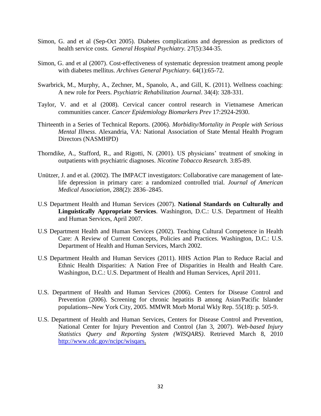- Simon, G. and et al (Sep-Oct 2005). Diabetes complications and depression as predictors of health service costs. *General Hospital Psychiatry.* 27(5):344-35.
- Simon, G. and et al (2007). Cost-effectiveness of systematic depression treatment among people with diabetes mellitus. *Archives General Psychiatry.* 64(1):65-72.
- Swarbrick, M., Murphy, A., Zechner, M., Spanolo, A., and Gill, K. (2011). Wellness coaching: A new role for Peers. *Psychiatric Rehabilitation Journal*. 34(4): 328-331.
- Taylor, V. and et al (2008). Cervical cancer control research in Vietnamese American communities cancer. *Cancer Epidemiology Biomarkers Prev* 17:2924-2930.
- Thirteenth in a Series of Technical Reports. (2006). *Morbidity/Mortality in People with Serious Mental Illness*. Alexandria, VA: National Association of State Mental Health Program Directors (NASMHPD)
- Thorndike, A., Stafford, R., and Rigotti, N. (2001). US physicians' treatment of smoking in outpatients with psychiatric diagnoses. *Nicotine Tobacco Research.* 3:85-89.
- Unützer, J. and et al. (2002). The IMPACT investigators: Collaborative care management of latelife depression in primary care: a randomized controlled trial. *Journal of American Medical Association,* 288(2): 2836–2845.
- U.S Department Health and Human Services (2007). **National Standards on Culturally and Linguistically Appropriate Services**. Washington, D.C.: U.S. Department of Health and Human Services, April 2007.
- U.S Department Health and Human Services (2002). Teaching Cultural Competence in Health Care: A Review of Current Concepts, Policies and Practices. Washington, D.C.: U.S. Department of Health and Human Services, March 2002.
- U.S Department Health and Human Services (2011). HHS Action Plan to Reduce Racial and Ethnic Health Disparities: A Nation Free of Disparities in Health and Health Care. Washington, D.C.: U.S. Department of Health and Human Services, April 2011.
- U.S. Department of Health and Human Services (2006). Centers for Disease Control and Prevention (2006). Screening for chronic hepatitis B among Asian/Pacific Islander populations--New York City, 2005*.* MMWR Morb Mortal Wkly Rep. 55(18): p. 505-9.
- U.S. Department of Health and Human Services, Centers for Disease Control and Prevention, National Center for Injury Prevention and Control (Jan 3, 2007). *Web-based Injury Statistics Query and Reporting System (WISQARS)*. Retrieved March 8, 2010 [http://www.cdc.gov/ncipc/wisqars.](http://www.cdc.gov/ncipc/wisqars)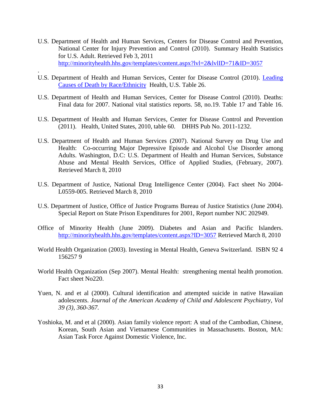- U.S. Department of Health and Human Services, Centers for Disease Control and Prevention, National Center for Injury Prevention and Control (2010). Summary Health Statistics for U.S. Adult. Retrieved Feb 3, 2011 <http://minorityhealth.hhs.gov/templates/content.aspx?lvl=2&lvlID=71&ID=3057>
- U.S. Department of Health and Human Services, Center for Disease Control (2010). [Leading](http://www.cdc.gov/nchs/data/hus/hus10.pdf#026)  [Causes of Death by Race/Ethnicity](http://www.cdc.gov/nchs/data/hus/hus10.pdf#026) Health, U.S. Table 26.

.

- U.S. Department of Health and Human Services, Center for Disease Control (2010). Deaths: Final data for 2007. National vital statistics reports. 58, no.19. Table 17 and Table 16.
- U.S. Department of Health and Human Services, Center for Disease Control and Prevention (2011). Health, United States, 2010, table 60. DHHS Pub No. 2011-1232.
- U.S. Department of Health and Human Services (2007). National Survey on Drug Use and Health: Co-occurring Major Depressive Episode and Alcohol Use Disorder among Adults. Washington, D.C: U.S. Department of Health and Human Services, Substance Abuse and Mental Health Services, Office of Applied Studies, (February, 2007). Retrieved March 8, 2010
- U.S. Department of Justice, National Drug Intelligence Center (2004). Fact sheet No 2004- L0559-005. Retrieved March 8, 2010
- U.S. Department of Justice, Office of Justice Programs Bureau of Justice Statistics (June 2004). Special Report on State Prison Expenditures for 2001, Report number NJC 202949.
- Office of Minority Health (June 2009). Diabetes and Asian and Pacific Islanders. <http://minorityhealth.hhs.gov/templates/content.aspx?ID=3057> Retrieved March 8, 2010
- World Health Organization (2003). Investing in Mental Health, Geneva Switzerland. ISBN 92 4 156257 9
- World Health Organization (Sep 2007). Mental Health: strengthening mental health promotion*.*  Fact sheet No220.
- Yuen, N. and et al (2000). Cultural identification and attempted suicide in native Hawaiian adolescents. *Journal of the American Academy of Child and Adolescent Psychiatry, Vol 39 (3), 360-367.*
- Yoshioka, M. and et al (2000). Asian family violence report: A stud of the Cambodian, Chinese, Korean, South Asian and Vietnamese Communities in Massachusetts. Boston, MA: Asian Task Force Against Domestic Violence, Inc.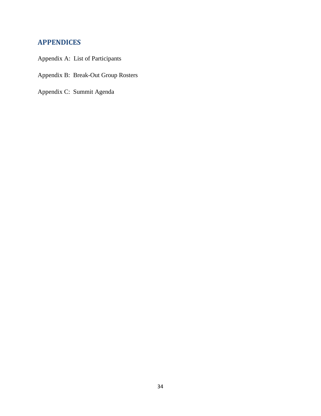# **APPENDICES**

- Appendix A: List of Participants
- Appendix B: Break-Out Group Rosters
- Appendix C: Summit Agenda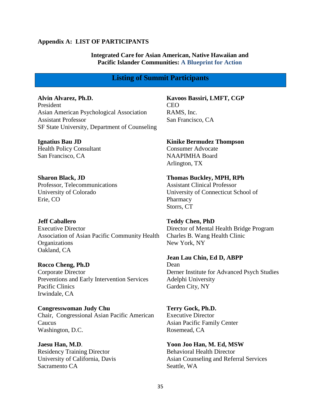#### **Appendix A: LIST OF PARTICIPANTS**

### **Integrated Care for Asian American, Native Hawaiian and Pacific Islander Communities: A Blueprint for Action**

### **Listing of Summit Participants**

**Alvin Alvarez, Ph.D.** President Asian American Psychological Association Assistant Professor SF State University, Department of Counseling

**Ignatius Bau JD** Health Policy Consultant San Francisco, CA

**Sharon Black, JD** Professor, Telecommunications University of Colorado Erie, CO

**Jeff Caballero** Executive Director Association of Asian Pacific Community Health **Organizations** Oakland, CA

#### **Rocco Cheng, Ph.D**

Corporate Director Preventions and Early Intervention Services Pacific Clinics Irwindale, CA

**Congresswoman Judy Chu**  Chair, Congressional Asian Pacific American Caucus Washington, D.C.

**Jaesu Han, M.D**. Residency Training Director University of California, Davis Sacramento CA

**Kavoos Bassiri, LMFT, CGP** CEO RAMS, Inc.

San Francisco, CA

**Kinike Bermudez Thompson** Consumer Advocate NAAPIMHA Board Arlington, TX

**Thomas Buckley, MPH, RPh** Assistant Clinical Professor University of Connecticut School of Pharmacy Storrs, CT

**Teddy Chen, PhD** Director of Mental Health Bridge Program Charles B. Wang Health Clinic New York, NY

**Jean Lau Chin, Ed D, ABPP**

Dean Derner Institute for Advanced Psych Studies Adelphi University Garden City, NY

**Terry Gock, Ph.D.** Executive Director Asian Pacific Family Center Rosemead, CA

**Yoon Joo Han, M. Ed, MSW** Behavioral Health Director Asian Counseling and Referral Services Seattle, WA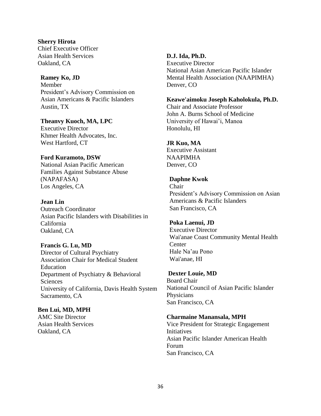**Sherry Hirota** Chief Executive Officer Asian Health Services Oakland, CA

### **Ramey Ko, JD** Member President's Advisory Commission on Asian Americans & Pacific Islanders

Austin, TX **Theanvy Kuoch, MA, LPC** Executive Director

Khmer Health Advocates, Inc. West Hartford, CT

### **Ford Kuramoto, DSW**

National Asian Pacific American Families Against Substance Abuse (NAPAFASA) Los Angeles, CA

### **Jean Lin**

Outreach Coordinator Asian Pacific Islanders with Disabilities in California Oakland, CA

**Francis G. Lu, MD** Director of Cultural Psychiatry Association Chair for Medical Student Education Department of Psychiatry & Behavioral Sciences University of California, Davis Health System Sacramento, CA

**Ben Lui, MD, MPH** AMC Site Director Asian Health Services Oakland, CA

### **D.J. Ida, Ph.D.**

Executive Director National Asian American Pacific Islander Mental Health Association (NAAPIMHA) Denver, CO

**Keawe'aimoku Joseph Kaholokula, Ph.D.** Chair and Associate Professor John A. Burns School of Medicine University of Hawai'i, Manoa Honolulu, HI

### **JR Kuo, MA**

Executive Assistant NAAPIMHA Denver, CO

### **Daphne Kwok**

Chair President's Advisory Commission on Asian Americans & Pacific Islanders San Francisco, CA

#### **Poka Laenui, JD**

Executive Director Wai'anae Coast Community Mental Health Center Hale Na'au Pono Wai'anae, HI

### **Dexter Louie, MD**

Board Chair National Council of Asian Pacific Islander **Physicians** San Francisco, CA

#### **Charmaine Manansala, MPH**

Vice President for Strategic Engagement Initiatives Asian Pacific Islander American Health Forum San Francisco, CA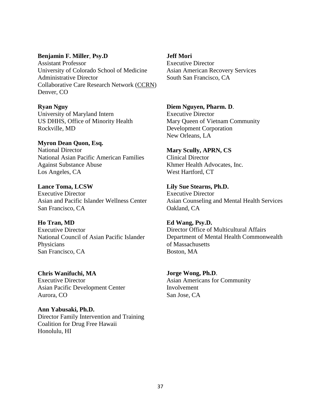#### **[Benjamin F. Miller](http://flavors.me/collaborativecare#_)**, **Psy.D**

Assistant Professor University of Colorado School of Medicine Administrative Director Collaborative Care Research Network [\(CCRN\)](http://www.aafp.org/nrn/ccrn) Denver, CO

**Ryan Nguy**

University of Maryland Intern US DHHS, Office of Minority Health Rockville, MD

**Myron Dean Quon, Esq.** National Director National Asian Pacific American Families Against Substance Abuse Los Angeles, CA

**Lance Toma, LCSW** Executive Director Asian and Pacific Islander Wellness Center San Francisco, CA

**Ho Tran, MD** Executive Director

National Council of Asian Pacific Islander Physicians San Francisco, CA

**Chris Wanifuchi, MA**

Executive Director Asian Pacific Development Center Aurora, CO

**Ann Yabusaki, Ph.D.** Director Family Intervention and Training Coalition for Drug Free Hawaii Honolulu, HI

**Jeff Mori** Executive Director Asian American Recovery Services South San Francisco, CA

**Diem Nguyen, Pharm. D**. Executive Director Mary Queen of Vietnam Community Development Corporation New Orleans, LA

**Mary Scully, APRN, CS** Clinical Director Khmer Health Advocates, Inc. West Hartford, CT

**Lily Sue Stearns, Ph.D.** Executive Director Asian Counseling and Mental Health Services Oakland, CA

**Ed Wang, Psy.D.** Director Office of Multicultural Affairs Department of Mental Health Commonwealth of Massachusetts Boston, MA

**Jorge Wong, Ph.D**. Asian Americans for Community Involvement San Jose, CA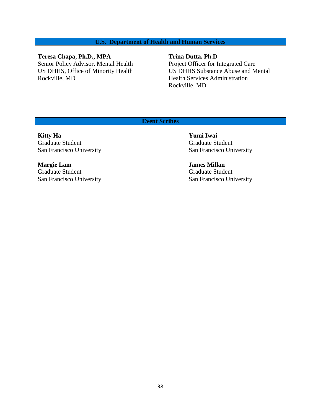# **U.S. Department of Health and Human Services**

# **Teresa Chapa, Ph.D., MPA**

Senior Policy Advisor, Mental Health US DHHS, Office of Minority Health Rockville, MD

#### **Trina Dutta, Ph.D**

Project Officer for Integrated Care US DHHS Substance Abuse and Mental Health Services Administration Rockville, MD

### **Event Scribes**

**Kitty Ha Yumi Iwai** Graduate Student Graduate Student Graduate Student San Francisco University San Francisco University

**Margie Lam James Millan** Graduate Student Graduate Student San Francisco University San Francisco University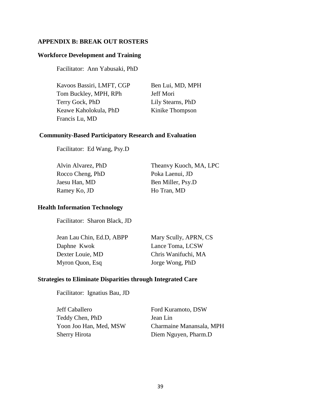# **APPENDIX B: BREAK OUT ROSTERS**

### **Workforce Development and Training**

Facilitator: Ann Yabusaki, PhD

| Kavoos Bassiri, LMFT, CGP | Ben Lui, MD, MP   |
|---------------------------|-------------------|
| Tom Buckley, MPH, RPh     | Jeff Mori         |
| Terry Gock, PhD           | Lily Stearns, PhD |
| Keawe Kaholokula, PhD     | Kinike Thompson   |
| Francis Lu, MD            |                   |

Ben Lui, MD, MPH Kinike Thompson

### **Community-Based Participatory Research and Evaluation**

Facilitator: Ed Wang, Psy.D

| Alvin Alvarez, PhD | Theanvy Kuoch, MA, LPC |
|--------------------|------------------------|
| Rocco Cheng, PhD   | Poka Laenui, JD        |
| Jaesu Han, MD      | Ben Miller, Psy.D      |
| Ramey Ko, JD       | Ho Tran, MD            |
|                    |                        |

### **Health Information Technology**

Facilitator: Sharon Black, JD

| Jean Lau Chin, Ed.D, ABPP | Mary Scully, APRN, CS |
|---------------------------|-----------------------|
| Daphne Kwok               | Lance Toma, LCSW      |
| Dexter Louie, MD          | Chris Wanifuchi, MA   |
| Myron Quon, Esq           | Jorge Wong, PhD       |

### **Strategies to Eliminate Disparities through Integrated Care**

Facilitator: Ignatius Bau, JD

| Jeff Caballero         | Ford Kuramoto, DSW       |
|------------------------|--------------------------|
| Teddy Chen, PhD        | Jean Lin                 |
| Yoon Joo Han, Med, MSW | Charmaine Manansala, MPH |
| Sherry Hirota          | Diem Nguyen, Pharm.D     |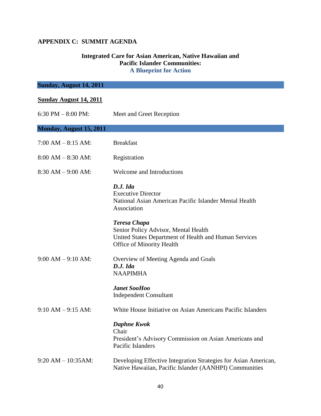# **APPENDIX C: SUMMIT AGENDA**

### **Integrated Care for Asian American, Native Hawaiian and Pacific Islander Communities: A Blueprint for Action**

| Sunday, August 14, 2011       |                                                                                                                                                          |
|-------------------------------|----------------------------------------------------------------------------------------------------------------------------------------------------------|
| <b>Sunday August 14, 2011</b> |                                                                                                                                                          |
| 6:30 PM $-$ 8:00 PM:          | Meet and Greet Reception                                                                                                                                 |
| Monday, August 15, 2011       |                                                                                                                                                          |
| $7:00 AM - 8:15 AM$           | <b>Breakfast</b>                                                                                                                                         |
| $8:00 AM - 8:30 AM$           | Registration                                                                                                                                             |
| $8:30 AM - 9:00 AM$           | Welcome and Introductions                                                                                                                                |
|                               | D.J. I da<br><b>Executive Director</b><br>National Asian American Pacific Islander Mental Health<br>Association                                          |
|                               | <b>Teresa Chapa</b><br>Senior Policy Advisor, Mental Health<br>United States Department of Health and Human Services<br><b>Office of Minority Health</b> |
| $9:00 AM - 9:10 AM$           | Overview of Meeting Agenda and Goals<br>D.J. Ida<br><b>NAAPIMHA</b>                                                                                      |
|                               | <b>Janet SooHoo</b><br><b>Independent Consultant</b>                                                                                                     |
| $9:10 AM - 9:15 AM$           | White House Initiative on Asian Americans Pacific Islanders                                                                                              |
|                               | <b>Daphne Kwok</b><br>Chair<br>President's Advisory Commission on Asian Americans and<br>Pacific Islanders                                               |
| $9:20$ AM $- 10:35$ AM:       | Developing Effective Integration Strategies for Asian American,<br>Native Hawaiian, Pacific Islander (AANHPI) Communities                                |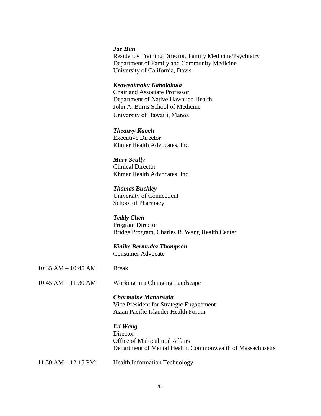### *Jae Han*

Residency Training Director, Family Medicine/Psychiatry Department of Family and Community Medicine University of California, Davis

#### *Keaweaimoku Kaholokula*

Chair and Associate Professor Department of Native Hawaiian Health John A. Burns School of Medicine University of Hawai'i, Manoa

#### *Theanvy Kuoch*

Executive Director Khmer Health Advocates, Inc.

*Mary Scully* Clinical Director Khmer Health Advocates, Inc.

*Thomas Buckley*  University of Connecticut School of Pharmacy

### *Teddy Chen*

Program Director Bridge Program, Charles B. Wang Health Center

# *Kinike Bermudez Thompson*

Consumer Advocate

10:35 AM – 10:45 AM: Break

10:45 AM – 11:30 AM: Working in a Changing Landscape

*Charmaine Manansala* Vice President for Strategic Engagement Asian Pacific Islander Health Forum

#### *Ed Wang*

**Director** Office of Multicultural Affairs Department of Mental Health, Commonwealth of Massachusetts

11:30 AM – 12:15 PM: Health Information Technology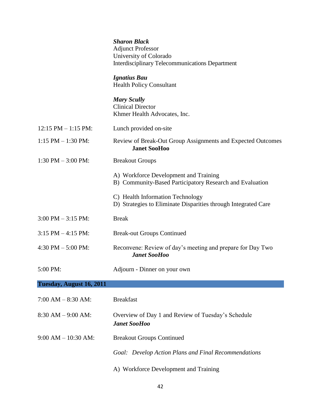|                          | <b>Sharon Black</b><br><b>Adjunct Professor</b><br>University of Colorado<br><b>Interdisciplinary Telecommunications Department</b> |
|--------------------------|-------------------------------------------------------------------------------------------------------------------------------------|
|                          | <b>Ignatius Bau</b><br><b>Health Policy Consultant</b>                                                                              |
|                          | <b>Mary Scully</b><br><b>Clinical Director</b><br>Khmer Health Advocates, Inc.                                                      |
| $12:15$ PM $- 1:15$ PM:  | Lunch provided on-site                                                                                                              |
| $1:15$ PM $- 1:30$ PM:   | Review of Break-Out Group Assignments and Expected Outcomes<br><b>Janet SooHoo</b>                                                  |
| $1:30$ PM $-3:00$ PM:    | <b>Breakout Groups</b>                                                                                                              |
|                          | A) Workforce Development and Training<br>B) Community-Based Participatory Research and Evaluation                                   |
|                          | C) Health Information Technology<br>D) Strategies to Eliminate Disparities through Integrated Care                                  |
| $3:00$ PM $-3:15$ PM:    | <b>Break</b>                                                                                                                        |
| $3:15$ PM $-4:15$ PM:    | <b>Break-out Groups Continued</b>                                                                                                   |
| 4:30 PM $-$ 5:00 PM:     | Reconvene: Review of day's meeting and prepare for Day Two<br><b>Janet SooHoo</b>                                                   |
| 5:00 PM:                 | Adjourn - Dinner on your own                                                                                                        |
| Tuesday, August 16, 2011 |                                                                                                                                     |
| $7:00 AM - 8:30 AM$ :    | <b>Breakfast</b>                                                                                                                    |
| $8:30 AM - 9:00 AM$      | Overview of Day 1 and Review of Tuesday's Schedule<br><b>Janet SooHoo</b>                                                           |
| $9:00 AM - 10:30 AM$     | <b>Breakout Groups Continued</b>                                                                                                    |
|                          | Goal: Develop Action Plans and Final Recommendations                                                                                |
|                          | A) Workforce Development and Training                                                                                               |